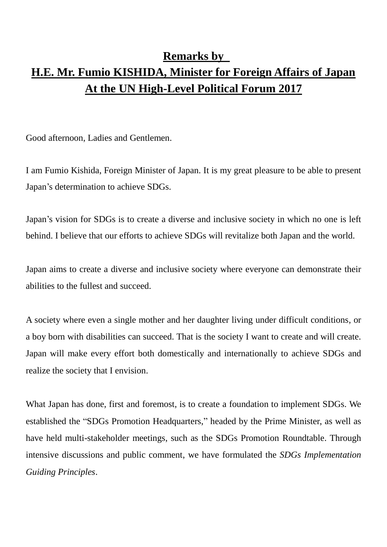## **Remarks by H.E. Mr. Fumio KISHIDA, Minister for Foreign Affairs of Japan At the UN High-Level Political Forum 2017**

Good afternoon, Ladies and Gentlemen.

I am Fumio Kishida, Foreign Minister of Japan. It is my great pleasure to be able to present Japan's determination to achieve SDGs.

Japan's vision for SDGs is to create a diverse and inclusive society in which no one is left behind. I believe that our efforts to achieve SDGs will revitalize both Japan and the world.

Japan aims to create a diverse and inclusive society where everyone can demonstrate their abilities to the fullest and succeed.

A society where even a single mother and her daughter living under difficult conditions, or a boy born with disabilities can succeed. That is the society I want to create and will create. Japan will make every effort both domestically and internationally to achieve SDGs and realize the society that I envision.

What Japan has done, first and foremost, is to create a foundation to implement SDGs. We established the "SDGs Promotion Headquarters," headed by the Prime Minister, as well as have held multi-stakeholder meetings, such as the SDGs Promotion Roundtable. Through intensive discussions and public comment, we have formulated the *SDGs Implementation Guiding Principles*.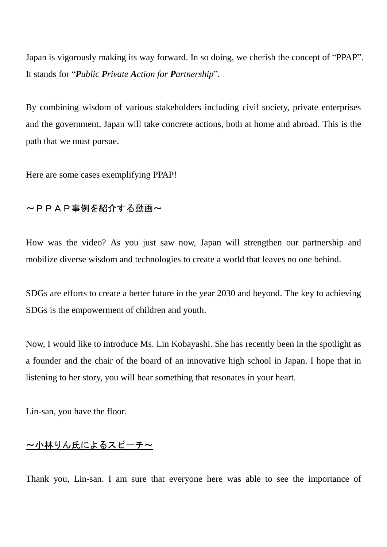Japan is vigorously making its way forward. In so doing, we cherish the concept of "PPAP". It stands for "*Public Private Action for Partnership*"*.*

By combining wisdom of various stakeholders including civil society, private enterprises and the government, Japan will take concrete actions, both at home and abroad. This is the path that we must pursue.

Here are some cases exemplifying PPAP!

## ~PPAP事例を紹介する動画~

How was the video? As you just saw now, Japan will strengthen our partnership and mobilize diverse wisdom and technologies to create a world that leaves no one behind.

SDGs are efforts to create a better future in the year 2030 and beyond. The key to achieving SDGs is the empowerment of children and youth.

Now, I would like to introduce Ms. Lin Kobayashi. She has recently been in the spotlight as a founder and the chair of the board of an innovative high school in Japan. I hope that in listening to her story, you will hear something that resonates in your heart.

Lin-san, you have the floor.

## ~小林りん氏によるスピーチ~

Thank you, Lin-san. I am sure that everyone here was able to see the importance of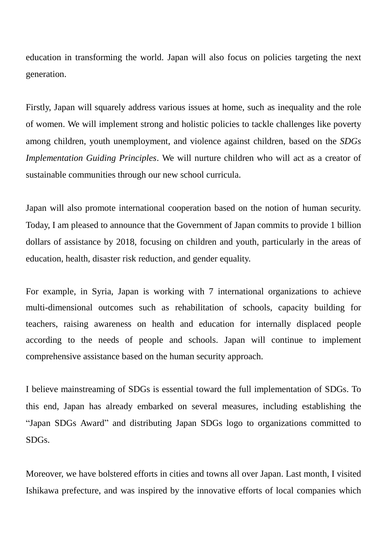education in transforming the world. Japan will also focus on policies targeting the next generation.

Firstly, Japan will squarely address various issues at home, such as inequality and the role of women. We will implement strong and holistic policies to tackle challenges like poverty among children, youth unemployment, and violence against children, based on the *SDGs Implementation Guiding Principles*. We will nurture children who will act as a creator of sustainable communities through our new school curricula.

Japan will also promote international cooperation based on the notion of human security. Today, I am pleased to announce that the Government of Japan commits to provide 1 billion dollars of assistance by 2018, focusing on children and youth, particularly in the areas of education, health, disaster risk reduction, and gender equality.

For example, in Syria, Japan is working with 7 international organizations to achieve multi-dimensional outcomes such as rehabilitation of schools, capacity building for teachers, raising awareness on health and education for internally displaced people according to the needs of people and schools. Japan will continue to implement comprehensive assistance based on the human security approach.

I believe mainstreaming of SDGs is essential toward the full implementation of SDGs. To this end, Japan has already embarked on several measures, including establishing the "Japan SDGs Award" and distributing Japan SDGs logo to organizations committed to SDGs.

Moreover, we have bolstered efforts in cities and towns all over Japan. Last month, I visited Ishikawa prefecture, and was inspired by the innovative efforts of local companies which